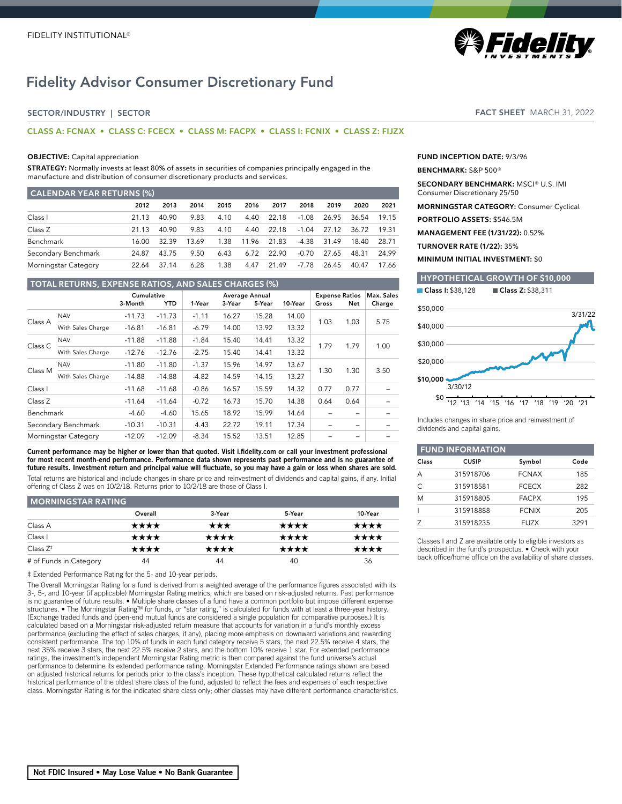# Fidelity Advisor Consumer Discretionary Fund

# SECTOR/INDUSTRY | SECTOR

# **CLASS A: FCNAX • CLASS C: FCECX • CLASS M: FACPX • CLASS I: FCNIX • CLASS Z: FIJZX**

## **OBJECTIVE:** Capital appreciation

**STRATEGY:** Normally invests at least 80% of assets in securities of companies principally engaged in the manufacture and distribution of consumer discretionary products and services.

| <b>CALENDAR YEAR RETURNS (%)</b> |       |       |       |      |       |       |         |       |       |       |
|----------------------------------|-------|-------|-------|------|-------|-------|---------|-------|-------|-------|
|                                  | 2012  | 2013  | 2014  | 2015 | 2016  | 2017  | 2018    | 2019  | 2020  | 2021  |
| Class I                          | 21.13 | 40.90 | 9.83  | 4.10 | 4.40  | 22.18 | $-1.08$ | 26.95 | 36.54 | 19.15 |
| Class Z                          | 21 13 | 40.90 | 9.83  | 4.10 | 4.40  | 22 18 | $-1.04$ | 27.12 | 36.72 | 19.31 |
| Benchmark                        | 16.00 | 32.39 | 13.69 | 1.38 | 11.96 | 2183  | -4.38   | 31.49 | 18.40 | 28.71 |
| Secondary Benchmark              | 24.87 | 43.75 | 9.50  | 6.43 | 6.72  | 22.90 | $-0.70$ | 27.65 | 48.31 | 24.99 |
| Morningstar Category             | 22.64 | 37.14 | 6.28  | 1.38 | 4.47  | 21 49 | -7.78   | 26.45 | 40.47 | 17.66 |

# **TOTAL RETURNS, EXPENSE RATIOS, AND SALES CHARGES (%)** Cumulative Average Annual Expense Ratios Max. Sales 3-Month YTD 1-Year 3-Year 5-Year 10-Year Gross Net Charge Class A NAV -11.73 -11.73 -1.11 16.27 15.28 14.00 1.03 1.03 5.75 With Sales Charge -16.81 -16.81 -6.79 14.00 13.92 13.32 Class C NAV -11.88 -11.88 -1.84 15.40 14.41 13.32 1.79 1.79 1.00 With Sales Charge -12.76 -12.76 -2.75 15.40 14.41 13.32 Class M NAV -11.80 -11.80 -1.37 15.96 14.97 13.67 1.30 1.30 3.50 With Sales Charge -14.88 -14.88 -4.82 14.59 14.15 13.27 Class I -11.68 -11.68 -0.86 16.57 15.59 14.32 0.77 0.77 – Class Z -11.64 -11.64 -0.72 16.73 15.70 14.38 0.64 0.64 – Benchmark -4.60 -4.60 15.65 18.92 15.99 14.64 – – – Secondary Benchmark -10.31 -10.31 4.43 22.72 19.11 17.34 - - -Morningstar Category -12.09 -12.09 -8.34 15.52 13.51 12.85 -

Current performance may be higher or lower than that quoted. Visit i.fidelity.com or call your investment professional for most recent month-end performance. Performance data shown represents past performance and is no guarantee of future results. Investment return and principal value will fluctuate, so you may have a gain or loss when shares are sold. Total returns are historical and include changes in share price and reinvestment of dividends and capital gains, if any. Initial offering of Class Z was on 10/2/18. Returns prior to 10/2/18 are those of Class I.

### **MORNINGSTAR RATING**

| <b>INDININING CONTINUES.</b> |         |        |        |         |
|------------------------------|---------|--------|--------|---------|
|                              | Overall | 3-Year | 5-Year | 10-Year |
| Class A                      | ★★★★    | ★★★    | ★★★★   | ★★★★    |
| Class I                      | ****    | ****   | ****   | ****    |
| Class $Z^*$                  | ****    | ****   | ★★★★   | ★★★★    |
| # of Funds in Category       | 44      | 44     | 40     | 36      |

‡ Extended Performance Rating for the 5- and 10-year periods.

The Overall Morningstar Rating for a fund is derived from a weighted average of the performance figures associated with its 3-, 5-, and 10-year (if applicable) Morningstar Rating metrics, which are based on risk-adjusted returns. Past performance is no guarantee of future results. • Multiple share classes of a fund have a common portfolio but impose different expense structures. • The Morningstar RatingTM for funds, or "star rating," is calculated for funds with at least a three-year history. (Exchange traded funds and open-end mutual funds are considered a single population for comparative purposes.) It is calculated based on a Morningstar risk-adjusted return measure that accounts for variation in a fund's monthly excess performance (excluding the effect of sales charges, if any), placing more emphasis on downward variations and rewarding consistent performance. The top 10% of funds in each fund category receive 5 stars, the next 22.5% receive 4 stars, the next 35% receive 3 stars, the next 22.5% receive 2 stars, and the bottom 10% receive 1 star. For extended performance ratings, the investment's independent Morningstar Rating metric is then compared against the fund universe's actual performance to determine its extended performance rating. Morningstar Extended Performance ratings shown are based on adjusted historical returns for periods prior to the class's inception. These hypothetical calculated returns reflect the historical performance of the oldest share class of the fund, adjusted to reflect the fees and expenses of each respective class. Morningstar Rating is for the indicated share class only; other classes may have different performance characteristics. FACT SHEET MARCH 31, 2022

*A Fidelity* 

**FUND INCEPTION DATE:** 9/3/96

#### **BENCHMARK:** S&P 500®

**SECONDARY BENCHMARK:** MSCI® U.S. IMI Consumer Discretionary 25/50

**MORNINGSTAR CATEGORY:** Consumer Cyclical

**PORTFOLIO ASSETS:** \$546.5M

**MANAGEMENT FEE (1/31/22):** 0.52%

**TURNOVER RATE (1/22):** 35%

**MINIMUM INITIAL INVESTMENT:** \$0

# **HYPOTHETICAL GROWTH OF \$10,000** Class I: \$38,128 Class Z: \$38,311 \$0 '12 '13 '14 '15 '16 '17 '18 '19 '20 '21 \$10,000 \$20,000 \$30,000 \$40,000 \$50,000 3/30/12 3/31/22

Includes changes in share price and reinvestment of dividends and capital gains.

| <b>FUND INFORMATION</b> |              |              |      |  |
|-------------------------|--------------|--------------|------|--|
| Class                   | <b>CUSIP</b> | Symbol       | Code |  |
| А                       | 315918706    | <b>FCNAX</b> | 185  |  |
| $\subset$               | 315918581    | <b>FCECX</b> | 282  |  |
| M                       | 315918805    | <b>FACPX</b> | 195  |  |
|                         | 315918888    | <b>FCNIX</b> | 205  |  |
|                         | 315918235    | <b>FIJZX</b> | 3291 |  |

Classes I and Z are available only to eligible investors as described in the fund's prospectus. • Check with your back office/home office on the availability of share classes.